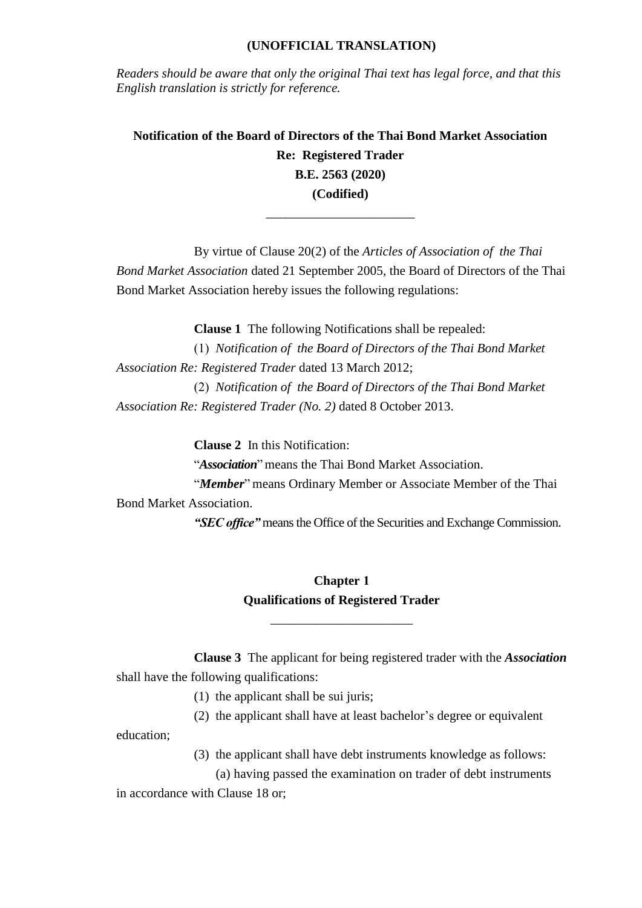#### **(UNOFFICIAL TRANSLATION)**

*Readers should be aware that only the original Thai text has legal force, and that this English translation is strictly for reference.*

**Notification of the Board of Directors of the Thai Bond Market Association Re: Registered Trader B.E. 2563 (2020) (Codified)**

\_\_\_\_\_\_\_\_\_\_\_\_\_\_\_\_\_\_\_\_\_\_\_

By virtue of Clause 20(2) of the *Articles of Association of the Thai Bond Market Association* dated 21 September 2005, the Board of Directors of the Thai Bond Market Association hereby issues the following regulations:

**Clause 1** The following Notifications shall be repealed:

(1) *Notification of the Board of Directors of the Thai Bond Market Association Re: Registered Trader* dated 13 March 2012;

(2) *Notification of the Board of Directors of the Thai Bond Market Association Re: Registered Trader (No. 2)* dated 8 October 2013.

**Clause 2** In this Notification:

"*Association*" means the Thai Bond Market Association.

"*Member*" means Ordinary Member or Associate Member of the Thai Bond Market Association.

*"SEC office"* means the Office of the Securities and Exchange Commission.

### **Chapter 1 Qualifications of Registered Trader**

\_\_\_\_\_\_\_\_\_\_\_\_\_\_\_\_\_\_\_\_\_\_

**Clause 3** The applicant for being registered trader with the *Association* shall have the following qualifications:

- (1) the applicant shall be sui juris;
- (2) the applicant shall have at least bachelor's degree or equivalent

education;

(3) the applicant shall have debt instruments knowledge as follows:

(a) having passed the examination on trader of debt instruments in accordance with Clause 18 or;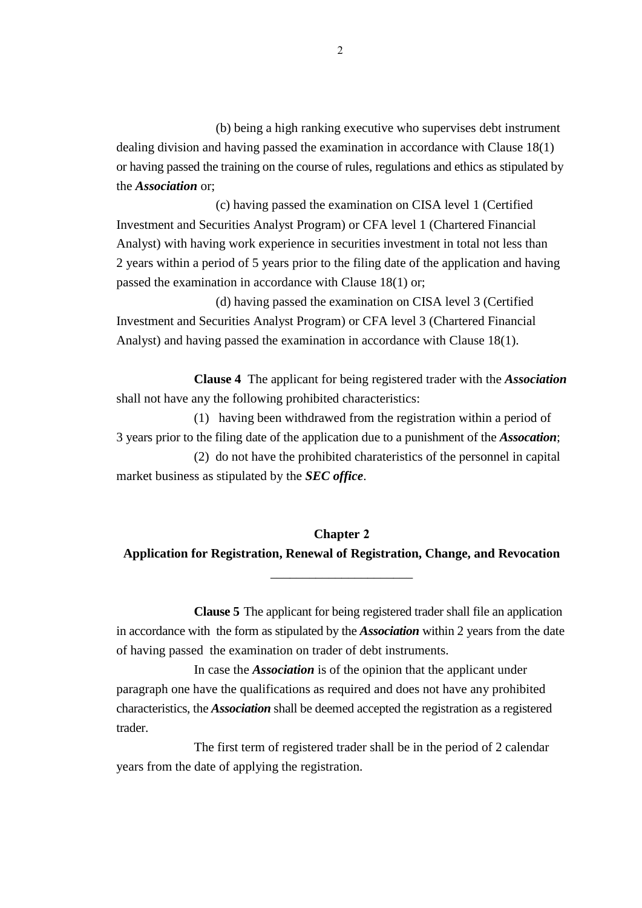(b) being a high ranking executive who supervises debt instrument dealing division and having passed the examination in accordance with Clause 18(1) or having passed the training on the course of rules, regulations and ethics as stipulated by the *Association* or;

(c) having passed the examination on CISA level 1 (Certified Investment and Securities Analyst Program) or CFA level 1 (Chartered Financial Analyst) with having work experience in securities investment in total not less than 2 years within a period of 5 years prior to the filing date of the application and having passed the examination in accordance with Clause 18(1) or;

(d) having passed the examination on CISA level 3 (Certified Investment and Securities Analyst Program) or CFA level 3 (Chartered Financial Analyst) and having passed the examination in accordance with Clause 18(1).

**Clause 4** The applicant for being registered trader with the *Association* shall not have any the following prohibited characteristics:

(1) having been withdrawed from the registration within a period of 3 years prior to the filing date of the application due to a punishment of the *Assocation*;

(2) do not have the prohibited charateristics of the personnel in capital market business as stipulated by the *SEC office*.

# **Chapter 2**

### **Application for Registration, Renewal of Registration, Change, and Revocation** \_\_\_\_\_\_\_\_\_\_\_\_\_\_\_\_\_\_\_\_\_\_

**Clause 5** The applicant for being registered trader shall file an application in accordance with the form as stipulated by the *Association* within 2 years from the date of having passed the examination on trader of debt instruments.

In case the *Association* is of the opinion that the applicant under paragraph one have the qualifications as required and does not have any prohibited characteristics, the *Association* shall be deemed accepted the registration as a registered trader.

The first term of registered trader shall be in the period of 2 calendar years from the date of applying the registration.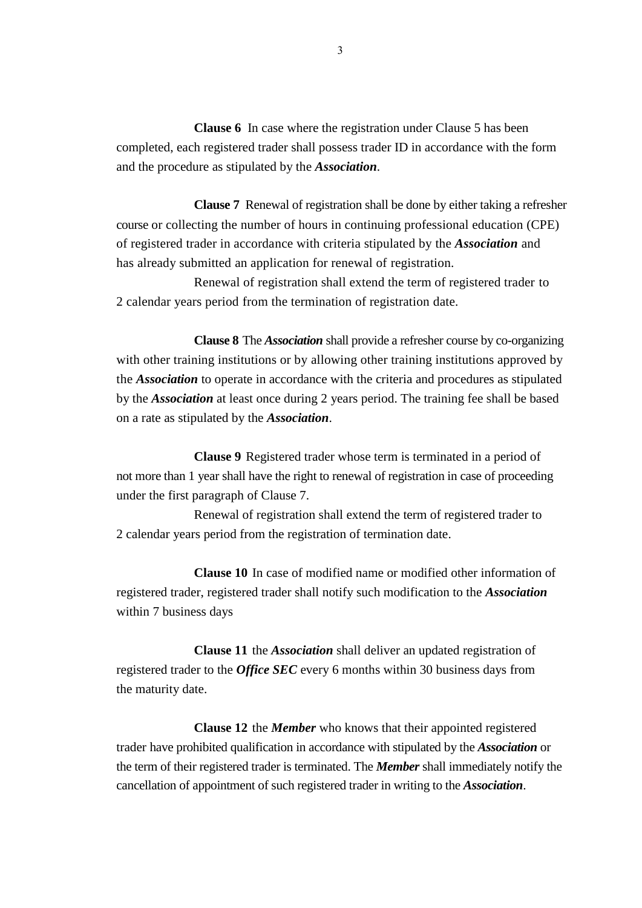**Clause 6** In case where the registration under Clause 5 has been completed, each registered trader shall possess trader ID in accordance with the form and the procedure as stipulated by the *Association*.

**Clause 7** Renewal of registration shall be done by either taking a refresher course or collecting the number of hours in continuing professional education (CPE) of registered trader in accordance with criteria stipulated by the *Association* and has already submitted an application for renewal of registration.

Renewal of registration shall extend the term of registered trader to 2 calendar years period from the termination of registration date.

**Clause 8** The *Association* shall provide a refresher course by co-organizing with other training institutions or by allowing other training institutions approved by the *Association* to operate in accordance with the criteria and procedures as stipulated by the *Association* at least once during 2 years period. The training fee shall be based on a rate as stipulated by the *Association*.

**Clause 9** Registered trader whose term is terminated in a period of not more than 1 year shall have the right to renewal of registration in case of proceeding under the first paragraph of Clause 7.

Renewal of registration shall extend the term of registered trader to 2 calendar years period from the registration of termination date.

**Clause 10** In case of modified name or modified other information of registered trader, registered trader shall notify such modification to the *Association* within 7 business days

**Clause 11** the *Association* shall deliver an updated registration of registered trader to the *Office SEC* every 6 months within 30 business days from the maturity date.

**Clause 12** the *Member* who knows that their appointed registered trader have prohibited qualification in accordance with stipulated by the *Association* or the term of their registered trader is terminated. The *Member* shall immediately notify the cancellation of appointment of such registered trader in writing to the *Association*.

3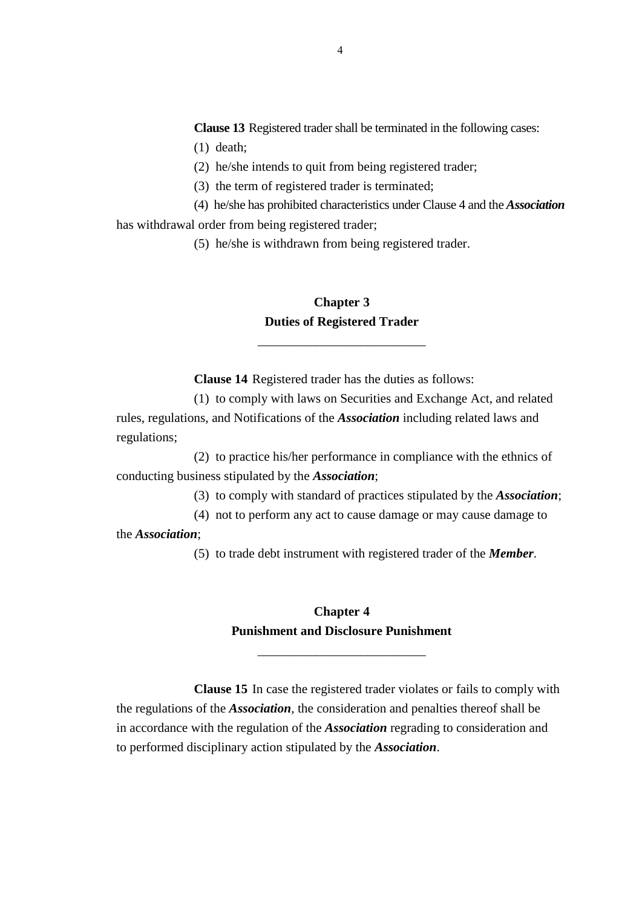**Clause 13** Registered trader shall be terminated in the following cases: (1) death;

(2) he/she intends to quit from being registered trader;

(3) the term of registered trader is terminated;

(4) he/she has prohibited characteristics under Clause 4 and the *Association* has withdrawal order from being registered trader;

(5) he/she is withdrawn from being registered trader.

### **Chapter 3 Duties of Registered Trader**

\_\_\_\_\_\_\_\_\_\_\_\_\_\_\_\_\_\_\_\_\_\_\_\_\_\_

**Clause 14** Registered trader has the duties as follows:

(1) to comply with laws on Securities and Exchange Act, and related rules, regulations, and Notifications of the *Association* including related laws and regulations;

(2) to practice his/her performance in compliance with the ethnics of conducting business stipulated by the *Association*;

(3) to comply with standard of practices stipulated by the *Association*;

(4) not to perform any act to cause damage or may cause damage to

the *Association*;

(5) to trade debt instrument with registered trader of the *Member*.

# **Chapter 4 Punishment and Disclosure Punishment**

\_\_\_\_\_\_\_\_\_\_\_\_\_\_\_\_\_\_\_\_\_\_\_\_\_\_

**Clause 15** In case the registered trader violates or fails to comply with the regulations of the *Association*, the consideration and penalties thereof shall be in accordance with the regulation of the *Association* regrading to consideration and to performed disciplinary action stipulated by the *Association*.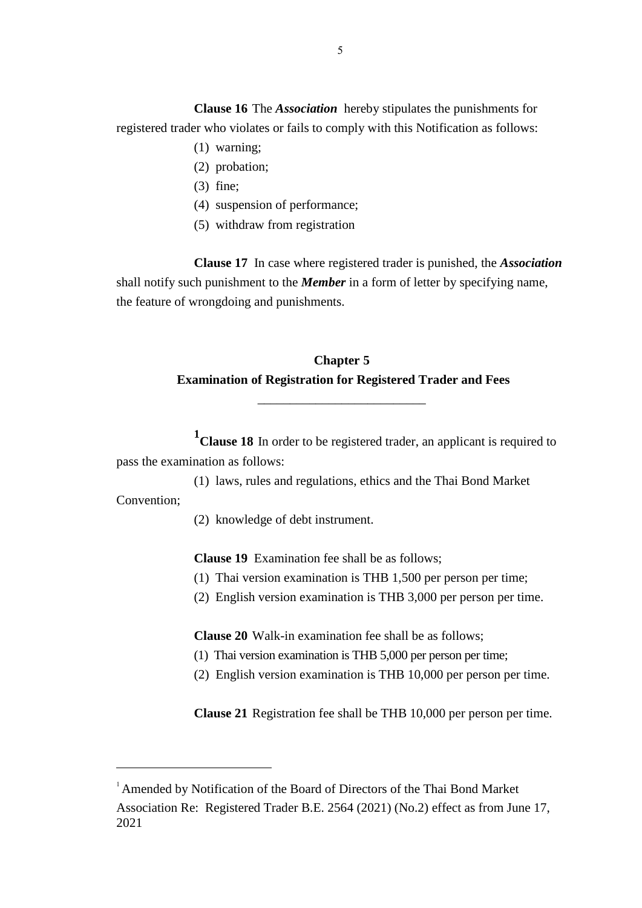**Clause 16** The *Association* hereby stipulates the punishments for registered trader who violates or fails to comply with this Notification as follows:

- (1) warning;
- (2) probation;
- (3) fine;
- (4) suspension of performance;
- (5) withdraw from registration

**Clause 17** In case where registered trader is punished, the *Association* shall notify such punishment to the *Member* in a form of letter by specifying name, the feature of wrongdoing and punishments.

## **Chapter 5 Examination of Registration for Registered Trader and Fees**

\_\_\_\_\_\_\_\_\_\_\_\_\_\_\_\_\_\_\_\_\_\_\_\_\_\_

**1 Clause 18** In order to be registered trader, an applicant is required to pass the examination as follows:

(1) laws, rules and regulations, ethics and the Thai Bond Market

Convention;

 $\overline{a}$ 

(2) knowledge of debt instrument.

**Clause 19** Examination fee shall be as follows;

- (1) Thai version examination is THB 1,500 per person per time;
- (2) English version examination is THB 3,000 per person per time.

**Clause 20** Walk-in examination fee shall be as follows;

- (1) Thai version examination is THB 5,000 per person per time;
- (2) English version examination is THB 10,000 per person per time.

**Clause 21** Registration fee shall be THB 10,000 per person per time.

Association Re: Registered Trader B.E. 2564 (2021) (No.2) effect as from June 17, 2021

<sup>&</sup>lt;sup>1</sup> Amended by Notification of the Board of Directors of the Thai Bond Market